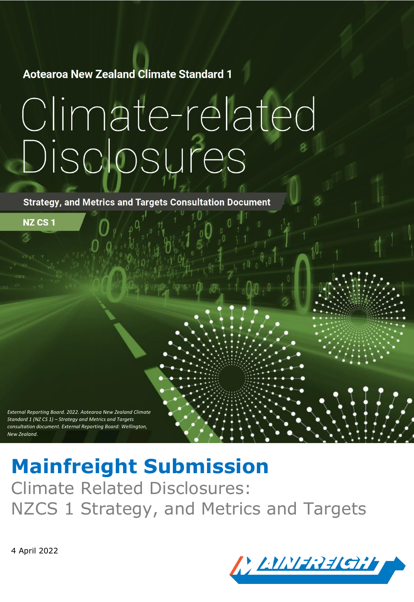**Aotearoa New Zealand Climate Standard 1** 

# Climate-related Disclosures

**Strategy, and Metrics and Targets Consultation Document** 

*External Reporting Board. 2022. Aotearoa New Zealand Climate Standard 1 (NZ CS 1) – Strategy and Metrics and Targets consultation document. External Reporting Board: Wellington, New Zealand.*

**Mainfreight Submission** Climate Related Disclosures: NZCS 1 Strategy, and Metrics and Targets

4 April 2022

**NZ CS 1** 

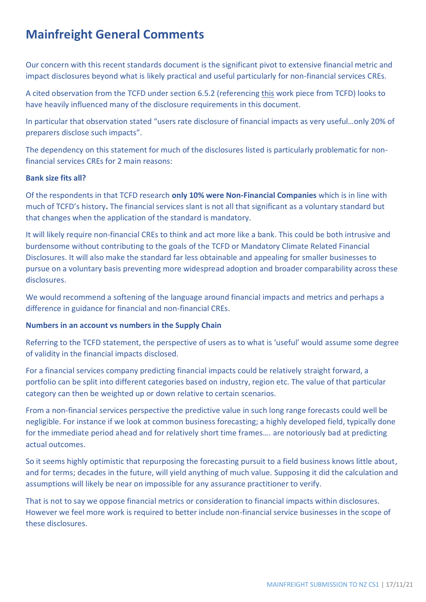## **Mainfreight General Comments**

Our concern with this recent standards document is the significant pivot to extensive financial metric and impact disclosures beyond what is likely practical and useful particularly for non-financial services CREs.

A cited observation from the TCFD under section 6.5.2 (referencing [this](https://assets.bbhub.io/company/sites/60/2021/08/Summary-of-June-2021-Public-Consultation.pdf) work piece from TCFD) looks to have heavily influenced many of the disclosure requirements in this document.

In particular that observation stated "users rate disclosure of financial impacts as very useful…only 20% of preparers disclose such impacts".

The dependency on this statement for much of the disclosures listed is particularly problematic for nonfinancial services CREs for 2 main reasons:

#### **Bank size fits all?**

Of the respondents in that TCFD research **only 10% were Non-Financial Companies** which is in line with much of TCFD's history**.** The financial services slant is not all that significant as a voluntary standard but that changes when the application of the standard is mandatory.

It will likely require non-financial CREs to think and act more like a bank. This could be both intrusive and burdensome without contributing to the goals of the TCFD or Mandatory Climate Related Financial Disclosures. It will also make the standard far less obtainable and appealing for smaller businesses to pursue on a voluntary basis preventing more widespread adoption and broader comparability across these disclosures.

We would recommend a softening of the language around financial impacts and metrics and perhaps a difference in guidance for financial and non-financial CREs.

#### **Numbers in an account vs numbers in the Supply Chain**

Referring to the TCFD statement, the perspective of users as to what is 'useful' would assume some degree of validity in the financial impacts disclosed.

For a financial services company predicting financial impacts could be relatively straight forward, a portfolio can be split into different categories based on industry, region etc. The value of that particular category can then be weighted up or down relative to certain scenarios.

From a non-financial services perspective the predictive value in such long range forecasts could well be negligible. For instance if we look at common business forecasting; a highly developed field, typically done for the immediate period ahead and for relatively short time frames…. are notoriously bad at predicting actual outcomes.

So it seems highly optimistic that repurposing the forecasting pursuit to a field business knows little about, and for terms; decades in the future, will yield anything of much value. Supposing it did the calculation and assumptions will likely be near on impossible for any assurance practitioner to verify.

That is not to say we oppose financial metrics or consideration to financial impacts within disclosures. However we feel more work is required to better include non-financial service businesses in the scope of these disclosures.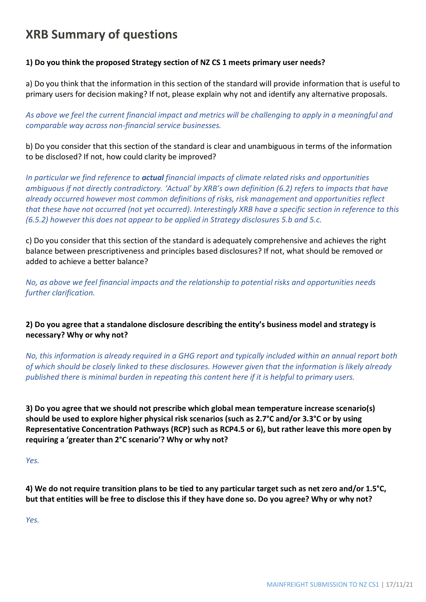## **XRB Summary of questions**

#### **1) Do you think the proposed Strategy section of NZ CS 1 meets primary user needs?**

a) Do you think that the information in this section of the standard will provide information that is useful to primary users for decision making? If not, please explain why not and identify any alternative proposals.

*As above we feel the current financial impact and metrics will be challenging to apply in a meaningful and comparable way across non-financial service businesses.*

b) Do you consider that this section of the standard is clear and unambiguous in terms of the information to be disclosed? If not, how could clarity be improved?

*In particular we find reference to actual financial impacts of climate related risks and opportunities ambiguous if not directly contradictory. 'Actual' by XRB's own definition (6.2) refers to impacts that have already occurred however most common definitions of risks, risk management and opportunities reflect that these have not occurred (not yet occurred). Interestingly XRB have a specific section in reference to this (6.5.2) however this does not appear to be applied in Strategy disclosures 5.b and 5.c.*

c) Do you consider that this section of the standard is adequately comprehensive and achieves the right balance between prescriptiveness and principles based disclosures? If not, what should be removed or added to achieve a better balance?

*No, as above we feel financial impacts and the relationship to potential risks and opportunities needs further clarification.*

#### **2) Do you agree that a standalone disclosure describing the entity's business model and strategy is necessary? Why or why not?**

*No, this information is already required in a GHG report and typically included within an annual report both of which should be closely linked to these disclosures. However given that the information is likely already published there is minimal burden in repeating this content here if it is helpful to primary users.*

**3) Do you agree that we should not prescribe which global mean temperature increase scenario(s) should be used to explore higher physical risk scenarios (such as 2.7°C and/or 3.3°C or by using Representative Concentration Pathways (RCP) such as RCP4.5 or 6), but rather leave this more open by requiring a 'greater than 2°C scenario'? Why or why not?**

*Yes.*

**4) We do not require transition plans to be tied to any particular target such as net zero and/or 1.5°C, but that entities will be free to disclose this if they have done so. Do you agree? Why or why not?**

*Yes.*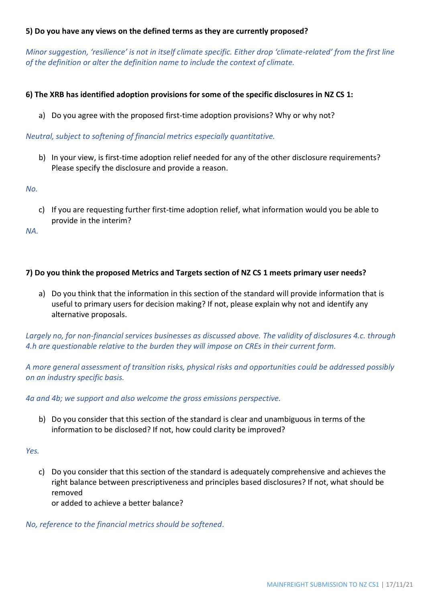#### **5) Do you have any views on the defined terms as they are currently proposed?**

*Minor suggestion, 'resilience' is not in itself climate specific. Either drop 'climate-related' from the first line of the definition or alter the definition name to include the context of climate.* 

#### **6) The XRB has identified adoption provisions for some of the specific disclosures in NZ CS 1:**

a) Do you agree with the proposed first-time adoption provisions? Why or why not?

*Neutral, subject to softening of financial metrics especially quantitative.*

b) In your view, is first-time adoption relief needed for any of the other disclosure requirements? Please specify the disclosure and provide a reason.

*No.*

c) If you are requesting further first-time adoption relief, what information would you be able to provide in the interim?

*NA.*

#### **7) Do you think the proposed Metrics and Targets section of NZ CS 1 meets primary user needs?**

a) Do you think that the information in this section of the standard will provide information that is useful to primary users for decision making? If not, please explain why not and identify any alternative proposals.

*Largely no, for non-financial services businesses as discussed above. The validity of disclosures 4.c. through 4.h are questionable relative to the burden they will impose on CREs in their current form.*

*A more general assessment of transition risks, physical risks and opportunities could be addressed possibly on an industry specific basis.*

*4a and 4b; we support and also welcome the gross emissions perspective.*

b) Do you consider that this section of the standard is clear and unambiguous in terms of the information to be disclosed? If not, how could clarity be improved?

*Yes.*

c) Do you consider that this section of the standard is adequately comprehensive and achieves the right balance between prescriptiveness and principles based disclosures? If not, what should be removed

or added to achieve a better balance?

*No, reference to the financial metrics should be softened.*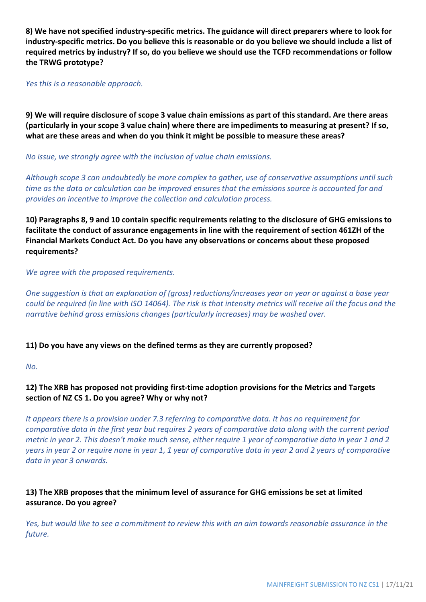**8) We have not specified industry-specific metrics. The guidance will direct preparers where to look for industry-specific metrics. Do you believe this is reasonable or do you believe we should include a list of required metrics by industry? If so, do you believe we should use the TCFD recommendations or follow the TRWG prototype?**

*Yes this is a reasonable approach.*

**9) We will require disclosure of scope 3 value chain emissions as part of this standard. Are there areas (particularly in your scope 3 value chain) where there are impediments to measuring at present? If so, what are these areas and when do you think it might be possible to measure these areas?**

*No issue, we strongly agree with the inclusion of value chain emissions.* 

*Although scope 3 can undoubtedly be more complex to gather, use of conservative assumptions until such time as the data or calculation can be improved ensures that the emissions source is accounted for and provides an incentive to improve the collection and calculation process.*

**10) Paragraphs 8, 9 and 10 contain specific requirements relating to the disclosure of GHG emissions to facilitate the conduct of assurance engagements in line with the requirement of section 461ZH of the Financial Markets Conduct Act. Do you have any observations or concerns about these proposed requirements?**

*We agree with the proposed requirements.*

*One suggestion is that an explanation of (gross) reductions/increases year on year or against a base year could be required (in line with ISO 14064). The risk is that intensity metrics will receive all the focus and the narrative behind gross emissions changes (particularly increases) may be washed over.* 

#### **11) Do you have any views on the defined terms as they are currently proposed?**

*No.*

#### **12) The XRB has proposed not providing first-time adoption provisions for the Metrics and Targets section of NZ CS 1. Do you agree? Why or why not?**

*It appears there is a provision under 7.3 referring to comparative data. It has no requirement for comparative data in the first year but requires 2 years of comparative data along with the current period metric in year 2. This doesn't make much sense, either require 1 year of comparative data in year 1 and 2 years in year 2 or require none in year 1, 1 year of comparative data in year 2 and 2 years of comparative data in year 3 onwards.*

#### **13) The XRB proposes that the minimum level of assurance for GHG emissions be set at limited assurance. Do you agree?**

*Yes, but would like to see a commitment to review this with an aim towards reasonable assurance in the future.*